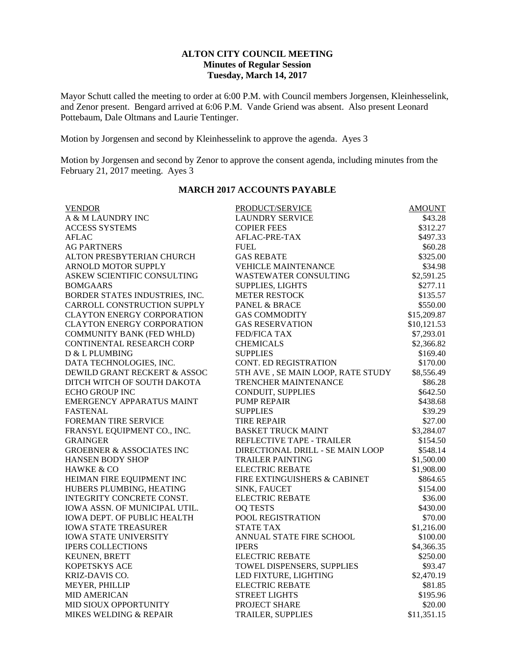## **ALTON CITY COUNCIL MEETING Minutes of Regular Session Tuesday, March 14, 2017**

Mayor Schutt called the meeting to order at 6:00 P.M. with Council members Jorgensen, Kleinhesselink, and Zenor present. Bengard arrived at 6:06 P.M. Vande Griend was absent. Also present Leonard Pottebaum, Dale Oltmans and Laurie Tentinger.

Motion by Jorgensen and second by Kleinhesselink to approve the agenda. Ayes 3

Motion by Jorgensen and second by Zenor to approve the consent agenda, including minutes from the February 21, 2017 meeting. Ayes 3

| <b>VENDOR</b>                        | PRODUCT/SERVICE                   | <b>AMOUNT</b> |
|--------------------------------------|-----------------------------------|---------------|
| A & M LAUNDRY INC                    | <b>LAUNDRY SERVICE</b>            | \$43.28       |
| <b>ACCESS SYSTEMS</b>                | <b>COPIER FEES</b>                | \$312.27      |
| <b>AFLAC</b>                         | AFLAC-PRE-TAX                     | \$497.33      |
| <b>AG PARTNERS</b>                   | <b>FUEL</b>                       | \$60.28       |
| ALTON PRESBYTERIAN CHURCH            | <b>GAS REBATE</b>                 | \$325.00      |
| <b>ARNOLD MOTOR SUPPLY</b>           | <b>VEHICLE MAINTENANCE</b>        | \$34.98       |
| ASKEW SCIENTIFIC CONSULTING          | WASTEWATER CONSULTING             | \$2,591.25    |
| <b>BOMGAARS</b>                      | <b>SUPPLIES, LIGHTS</b>           | \$277.11      |
| BORDER STATES INDUSTRIES, INC.       | <b>METER RESTOCK</b>              | \$135.57      |
| CARROLL CONSTRUCTION SUPPLY          | <b>PANEL &amp; BRACE</b>          | \$550.00      |
| <b>CLAYTON ENERGY CORPORATION</b>    | <b>GAS COMMODITY</b>              | \$15,209.87   |
| <b>CLAYTON ENERGY CORPORATION</b>    | <b>GAS RESERVATION</b>            | \$10,121.53   |
| <b>COMMUNITY BANK (FED WHLD)</b>     | <b>FED/FICA TAX</b>               | \$7,293.01    |
| CONTINENTAL RESEARCH CORP            | <b>CHEMICALS</b>                  | \$2,366.82    |
| D & L PLUMBING                       | <b>SUPPLIES</b>                   | \$169.40      |
| DATA TECHNOLOGIES, INC.              | CONT. ED REGISTRATION             | \$170.00      |
| DEWILD GRANT RECKERT & ASSOC         | 5TH AVE, SE MAIN LOOP, RATE STUDY | \$8,556.49    |
| DITCH WITCH OF SOUTH DAKOTA          | <b>TRENCHER MAINTENANCE</b>       | \$86.28       |
| <b>ECHO GROUP INC</b>                | CONDUIT, SUPPLIES                 | \$642.50      |
| <b>EMERGENCY APPARATUS MAINT</b>     | <b>PUMP REPAIR</b>                | \$438.68      |
| <b>FASTENAL</b>                      | <b>SUPPLIES</b>                   | \$39.29       |
| <b>FOREMAN TIRE SERVICE</b>          | <b>TIRE REPAIR</b>                | \$27.00       |
| FRANSYL EQUIPMENT CO., INC.          | <b>BASKET TRUCK MAINT</b>         | \$3,284.07    |
| <b>GRAINGER</b>                      | REFLECTIVE TAPE - TRAILER         | \$154.50      |
| <b>GROEBNER &amp; ASSOCIATES INC</b> | DIRECTIONAL DRILL - SE MAIN LOOP  | \$548.14      |
| <b>HANSEN BODY SHOP</b>              | <b>TRAILER PAINTING</b>           | \$1,500.00    |
| HAWKE & CO                           | <b>ELECTRIC REBATE</b>            | \$1,908.00    |
| HEIMAN FIRE EQUIPMENT INC            | FIRE EXTINGUISHERS & CABINET      | \$864.65      |
| HUBERS PLUMBING, HEATING             | SINK, FAUCET                      | \$154.00      |
| INTEGRITY CONCRETE CONST.            | <b>ELECTRIC REBATE</b>            | \$36.00       |
| IOWA ASSN. OF MUNICIPAL UTIL.        | <b>OQ TESTS</b>                   | \$430.00      |
| <b>IOWA DEPT. OF PUBLIC HEALTH</b>   | POOL REGISTRATION                 | \$70.00       |
| <b>IOWA STATE TREASURER</b>          | <b>STATE TAX</b>                  | \$1,216.00    |
| <b>IOWA STATE UNIVERSITY</b>         | ANNUAL STATE FIRE SCHOOL          | \$100.00      |
| <b>IPERS COLLECTIONS</b>             | <b>IPERS</b>                      | \$4,366.35    |
| KEUNEN, BRETT                        | <b>ELECTRIC REBATE</b>            | \$250.00      |
| KOPETSKYS ACE                        | TOWEL DISPENSERS, SUPPLIES        | \$93.47       |
| KRIZ-DAVIS CO.                       | LED FIXTURE, LIGHTING             | \$2,470.19    |
| MEYER, PHILLIP                       | <b>ELECTRIC REBATE</b>            | \$81.85       |
| <b>MID AMERICAN</b>                  | <b>STREET LIGHTS</b>              | \$195.96      |
| MID SIOUX OPPORTUNITY                | PROJECT SHARE                     | \$20.00       |
| MIKES WELDING & REPAIR               | <b>TRAILER, SUPPLIES</b>          | \$11,351.15   |

## **MARCH 2017 ACCOUNTS PAYABLE**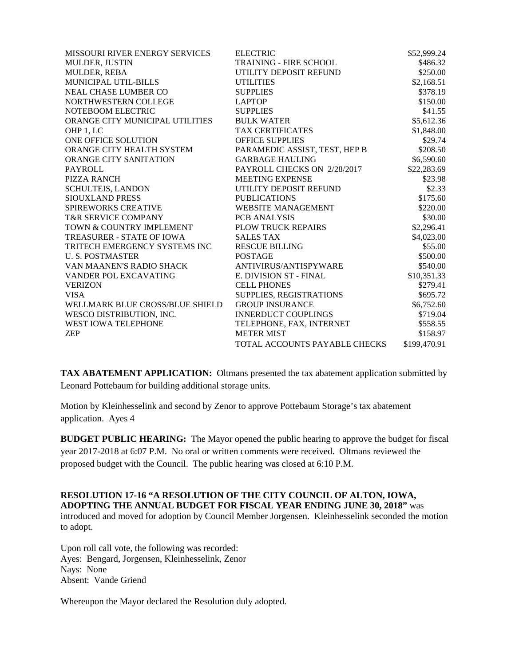| <b>MISSOURI RIVER ENERGY SERVICES</b> | <b>ELECTRIC</b>               | \$52,999.24  |
|---------------------------------------|-------------------------------|--------------|
| MULDER, JUSTIN                        | TRAINING - FIRE SCHOOL        | \$486.32     |
| MULDER, REBA                          | UTILITY DEPOSIT REFUND        | \$250.00     |
| MUNICIPAL UTIL-BILLS                  | <b>UTILITIES</b>              | \$2,168.51   |
| NEAL CHASE LUMBER CO                  | <b>SUPPLIES</b>               | \$378.19     |
| NORTHWESTERN COLLEGE                  | <b>LAPTOP</b>                 | \$150.00     |
| NOTEBOOM ELECTRIC                     | <b>SUPPLIES</b>               | \$41.55      |
| ORANGE CITY MUNICIPAL UTILITIES       | <b>BULK WATER</b>             | \$5,612.36   |
| OHP 1, LC                             | <b>TAX CERTIFICATES</b>       | \$1,848.00   |
| ONE OFFICE SOLUTION                   | <b>OFFICE SUPPLIES</b>        | \$29.74      |
| ORANGE CITY HEALTH SYSTEM             | PARAMEDIC ASSIST, TEST, HEP B | \$208.50     |
| ORANGE CITY SANITATION                | <b>GARBAGE HAULING</b>        | \$6,590.60   |
| <b>PAYROLL</b>                        | PAYROLL CHECKS ON 2/28/2017   | \$22,283.69  |
| PIZZA RANCH                           | <b>MEETING EXPENSE</b>        | \$23.98      |
| <b>SCHULTEIS, LANDON</b>              | UTILITY DEPOSIT REFUND        | \$2.33       |
| <b>SIOUXLAND PRESS</b>                | <b>PUBLICATIONS</b>           | \$175.60     |
| <b>SPIREWORKS CREATIVE</b>            | <b>WEBSITE MANAGEMENT</b>     | \$220.00     |
| <b>T&amp;R SERVICE COMPANY</b>        | PCB ANALYSIS                  | \$30.00      |
| TOWN & COUNTRY IMPLEMENT              | PLOW TRUCK REPAIRS            | \$2,296.41   |
| TREASURER - STATE OF IOWA             | <b>SALES TAX</b>              | \$4,023.00   |
| TRITECH EMERGENCY SYSTEMS INC         | <b>RESCUE BILLING</b>         | \$55.00      |
| <b>U.S. POSTMASTER</b>                | <b>POSTAGE</b>                | \$500.00     |
| VAN MAANEN'S RADIO SHACK              | ANTIVIRUS/ANTISPYWARE         | \$540.00     |
| VANDER POL EXCAVATING                 | <b>E. DIVISION ST - FINAL</b> | \$10,351.33  |
| <b>VERIZON</b>                        | <b>CELL PHONES</b>            | \$279.41     |
| <b>VISA</b>                           | SUPPLIES, REGISTRATIONS       | \$695.72     |
| WELLMARK BLUE CROSS/BLUE SHIELD       | <b>GROUP INSURANCE</b>        | \$6,752.60   |
| WESCO DISTRIBUTION, INC.              | <b>INNERDUCT COUPLINGS</b>    | \$719.04     |
| <b>WEST IOWA TELEPHONE</b>            | TELEPHONE, FAX, INTERNET      | \$558.55     |
| <b>ZEP</b>                            | <b>METER MIST</b>             | \$158.97     |
|                                       | TOTAL ACCOUNTS PAYABLE CHECKS | \$199,470.91 |

**TAX ABATEMENT APPLICATION:** Oltmans presented the tax abatement application submitted by Leonard Pottebaum for building additional storage units.

Motion by Kleinhesselink and second by Zenor to approve Pottebaum Storage's tax abatement application. Ayes 4

**BUDGET PUBLIC HEARING:** The Mayor opened the public hearing to approve the budget for fiscal year 2017-2018 at 6:07 P.M. No oral or written comments were received. Oltmans reviewed the proposed budget with the Council. The public hearing was closed at 6:10 P.M.

**RESOLUTION 17-16 "A RESOLUTION OF THE CITY COUNCIL OF ALTON, IOWA, ADOPTING THE ANNUAL BUDGET FOR FISCAL YEAR ENDING JUNE 30, 2018"** was introduced and moved for adoption by Council Member Jorgensen. Kleinhesselink seconded the motion to adopt.

Upon roll call vote, the following was recorded: Ayes: Bengard, Jorgensen, Kleinhesselink, Zenor Nays: None Absent: Vande Griend

Whereupon the Mayor declared the Resolution duly adopted.